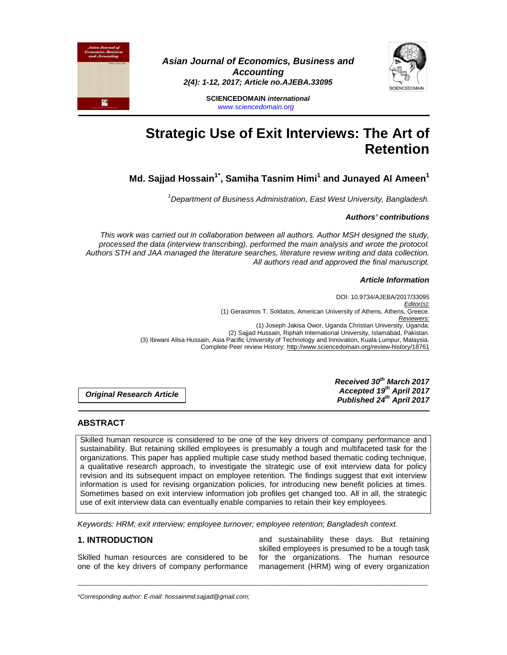

**Asian Journal of Economics, Business and Accounting 2(4): 1-12, 2017; Article no.AJEBA.33095** 

> **SCIENCEDOMAIN international**  www.sciencedomain.org

# **Strategic Use of Exit Interviews: The Art of Retention**

**Md. Sajjad Hossain1\*, Samiha Tasnim Himi<sup>1</sup> and Junayed Al Ameen<sup>1</sup>**

 $1$ Department of Business Administration, East West University, Bangladesh.

### **Authors' contributions**

This work was carried out in collaboration between all authors. Author MSH designed the study, processed the data (interview transcribing), performed the main analysis and wrote the protocol. Authors STH and JAA managed the literature searches, literature review writing and data collection. All authors read and approved the final manuscript.

## **Article Information**

DOI: 10.9734/AJEBA/2017/33095 Editor(s): (1) Gerasimos T. Soldatos, American University of Athens, Athens, Greece. Reviewers: (1) Joseph Jakisa Owor, Uganda Christian University, Uganda. (2) Sajjad Hussain, Riphah International University, Islamabad, Pakistan. (3) Ibiwani Alisa Hussain, Asia Pacific University of Technology and Innovation, Kuala Lumpur, Malaysia. Complete Peer review History: http://www.sciencedomain.org/review-history/18761

**Original Research Article** 

**Received 30th March 2017 Accepted 19th April 2017 Published 24th April 2017**

## **ABSTRACT**

P

Skilled human resource is considered to be one of the key drivers of company performance and sustainability. But retaining skilled employees is presumably a tough and multifaceted task for the organizations. This paper has applied multiple case study method based thematic coding technique, a qualitative research approach, to investigate the strategic use of exit interview data for policy revision and its subsequent impact on employee retention. The findings suggest that exit interview information is used for revising organization policies, for introducing new benefit policies at times. Sometimes based on exit interview information job profiles get changed too. All in all, the strategic use of exit interview data can eventually enable companies to retain their key employees.

\_\_\_\_\_\_\_\_\_\_\_\_\_\_\_\_\_\_\_\_\_\_\_\_\_\_\_\_\_\_\_\_\_\_\_\_\_\_\_\_\_\_\_\_\_\_\_\_\_\_\_\_\_\_\_\_\_\_\_\_\_\_\_\_\_\_\_\_\_\_\_\_\_\_\_\_\_\_\_\_\_\_\_\_\_\_\_\_\_\_\_\_\_\_\_\_\_\_\_\_\_

Keywords: HRM; exit interview; employee turnover; employee retention; Bangladesh context.

## **1. INTRODUCTION**

Skilled human resources are considered to be one of the key drivers of company performance

and sustainability these days. But retaining skilled employees is presumed to be a tough task for the organizations. The human resource management (HRM) wing of every organization

\*Corresponding author: E-mail: hossainmd.sajjad@gmail.com;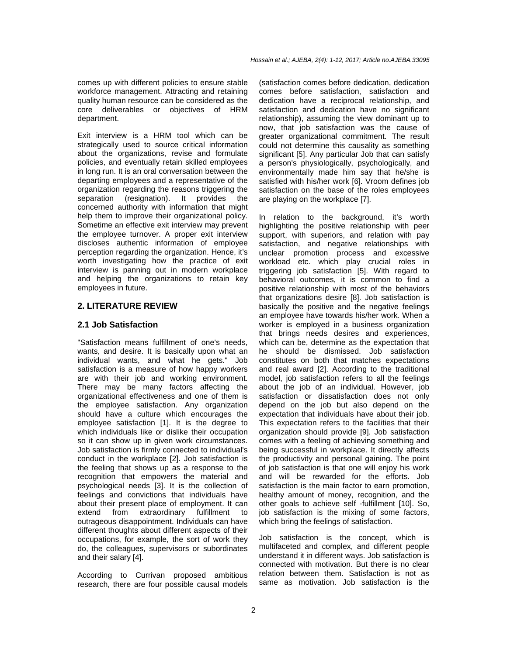comes up with different policies to ensure stable workforce management. Attracting and retaining quality human resource can be considered as the core deliverables or objectives of HRM department.

Exit interview is a HRM tool which can be strategically used to source critical information about the organizations, revise and formulate policies, and eventually retain skilled employees in long run. It is an oral conversation between the departing employees and a representative of the organization regarding the reasons triggering the separation (resignation). It provides the concerned authority with information that might help them to improve their organizational policy. Sometime an effective exit interview may prevent the employee turnover. A proper exit interview discloses authentic information of employee perception regarding the organization. Hence, it's worth investigating how the practice of exit interview is panning out in modern workplace and helping the organizations to retain key employees in future.

## **2. LITERATURE REVIEW**

## **2.1 Job Satisfaction**

"Satisfaction means fulfillment of one's needs, wants, and desire. It is basically upon what an individual wants, and what he gets." Job satisfaction is a measure of how happy workers are with their job and working environment. There may be many factors affecting the organizational effectiveness and one of them is the employee satisfaction. Any organization should have a culture which encourages the employee satisfaction [1]. It is the degree to which individuals like or dislike their occupation so it can show up in given work circumstances. Job satisfaction is firmly connected to individual's conduct in the workplace [2]. Job satisfaction is the feeling that shows up as a response to the recognition that empowers the material and psychological needs [3]. It is the collection of feelings and convictions that individuals have about their present place of employment. It can extend from extraordinary fulfillment to outrageous disappointment. Individuals can have different thoughts about different aspects of their occupations, for example, the sort of work they do, the colleagues, supervisors or subordinates and their salary [4].

According to Currivan proposed ambitious research, there are four possible causal models (satisfaction comes before dedication, dedication comes before satisfaction, satisfaction and dedication have a reciprocal relationship, and satisfaction and dedication have no significant relationship), assuming the view dominant up to now, that job satisfaction was the cause of greater organizational commitment. The result could not determine this causality as something significant [5]. Any particular Job that can satisfy a person's physiologically, psychologically, and environmentally made him say that he/she is satisfied with his/her work [6]. Vroom defines job satisfaction on the base of the roles employees are playing on the workplace [7].

In relation to the background, it's worth highlighting the positive relationship with peer support, with superiors, and relation with pay satisfaction, and negative relationships with unclear promotion process and excessive workload etc. which play crucial roles in triggering job satisfaction [5]. With regard to behavioral outcomes, it is common to find a positive relationship with most of the behaviors that organizations desire [8]. Job satisfaction is basically the positive and the negative feelings an employee have towards his/her work. When a worker is employed in a business organization that brings needs desires and experiences, which can be, determine as the expectation that he should be dismissed. Job satisfaction constitutes on both that matches expectations and real award [2]. According to the traditional model, job satisfaction refers to all the feelings about the job of an individual. However, job satisfaction or dissatisfaction does not only depend on the job but also depend on the expectation that individuals have about their job. This expectation refers to the facilities that their organization should provide [9]. Job satisfaction comes with a feeling of achieving something and being successful in workplace. It directly affects the productivity and personal gaining. The point of job satisfaction is that one will enjoy his work and will be rewarded for the efforts. Job satisfaction is the main factor to earn promotion, healthy amount of money, recognition, and the other goals to achieve self -fulfillment [10]. So, job satisfaction is the mixing of some factors, which bring the feelings of satisfaction.

Job satisfaction is the concept, which is multifaceted and complex, and different people understand it in different ways. Job satisfaction is connected with motivation. But there is no clear relation between them. Satisfaction is not as same as motivation. Job satisfaction is the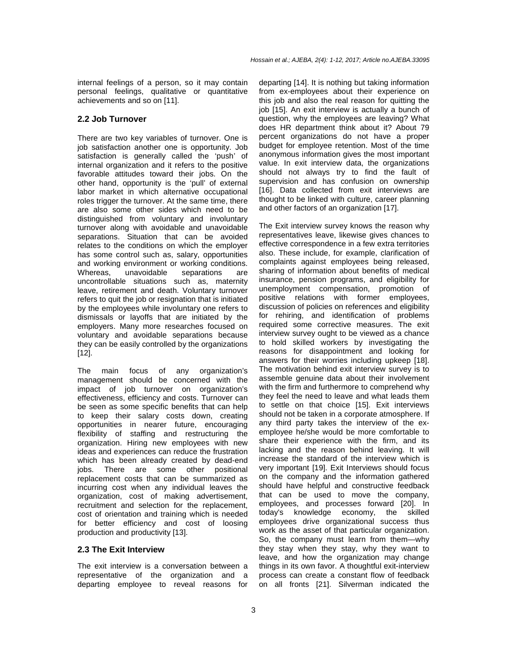internal feelings of a person, so it may contain personal feelings, qualitative or quantitative achievements and so on [11].

#### **2.2 Job Turnover**

There are two key variables of turnover. One is job satisfaction another one is opportunity. Job satisfaction is generally called the 'push' of internal organization and it refers to the positive favorable attitudes toward their jobs. On the other hand, opportunity is the 'pull' of external labor market in which alternative occupational roles trigger the turnover. At the same time, there are also some other sides which need to be distinguished from voluntary and involuntary turnover along with avoidable and unavoidable separations. Situation that can be avoided relates to the conditions on which the employer has some control such as, salary, opportunities and working environment or working conditions. Whereas, unavoidable separations are uncontrollable situations such as, maternity leave, retirement and death. Voluntary turnover refers to quit the job or resignation that is initiated by the employees while involuntary one refers to dismissals or layoffs that are initiated by the employers. Many more researches focused on voluntary and avoidable separations because they can be easily controlled by the organizations [12].

The main focus of any organization's management should be concerned with the impact of job turnover on organization's effectiveness, efficiency and costs. Turnover can be seen as some specific benefits that can help to keep their salary costs down, creating opportunities in nearer future, encouraging flexibility of staffing and restructuring the organization. Hiring new employees with new ideas and experiences can reduce the frustration which has been already created by dead-end jobs. There are some other positional replacement costs that can be summarized as incurring cost when any individual leaves the organization, cost of making advertisement, recruitment and selection for the replacement, cost of orientation and training which is needed for better efficiency and cost of loosing production and productivity [13].

## **2.3 The Exit Interview**

The exit interview is a conversation between a representative of the organization and a departing employee to reveal reasons for departing [14]. It is nothing but taking information from ex-employees about their experience on this job and also the real reason for quitting the job [15]. An exit interview is actually a bunch of question, why the employees are leaving? What does HR department think about it? About 79 percent organizations do not have a proper budget for employee retention. Most of the time anonymous information gives the most important value. In exit interview data, the organizations should not always try to find the fault of supervision and has confusion on ownership [16]. Data collected from exit interviews are thought to be linked with culture, career planning and other factors of an organization [17].

The Exit interview survey knows the reason why representatives leave, likewise gives chances to effective correspondence in a few extra territories also. These include, for example, clarification of complaints against employees being released, sharing of information about benefits of medical insurance, pension programs, and eligibility for unemployment compensation, promotion of positive relations with former employees, discussion of policies on references and eligibility for rehiring, and identification of problems required some corrective measures. The exit interview survey ought to be viewed as a chance to hold skilled workers by investigating the reasons for disappointment and looking for answers for their worries including upkeep [18]. The motivation behind exit interview survey is to assemble genuine data about their involvement with the firm and furthermore to comprehend why they feel the need to leave and what leads them to settle on that choice [15]. Exit interviews should not be taken in a corporate atmosphere. If any third party takes the interview of the exemployee he/she would be more comfortable to share their experience with the firm, and its lacking and the reason behind leaving. It will increase the standard of the interview which is very important [19]. Exit Interviews should focus on the company and the information gathered should have helpful and constructive feedback that can be used to move the company, employees, and processes forward [20]. In today's knowledge economy, the skilled employees drive organizational success thus work as the asset of that particular organization. So, the company must learn from them—why they stay when they stay, why they want to leave, and how the organization may change things in its own favor. A thoughtful exit-interview process can create a constant flow of feedback on all fronts [21]. Silverman indicated the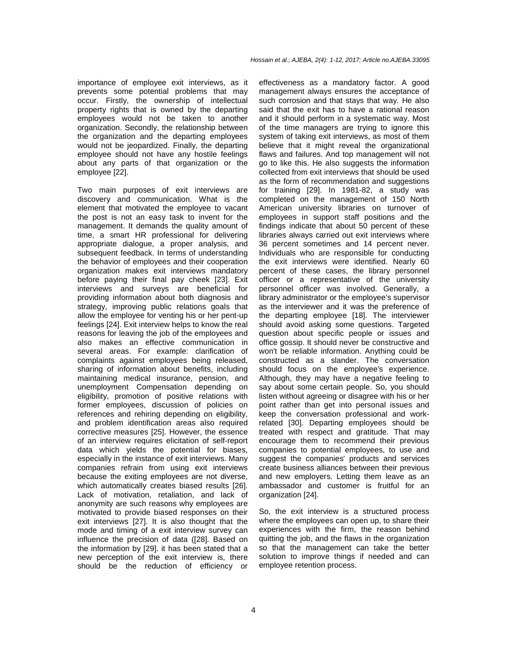importance of employee exit interviews, as it prevents some potential problems that may occur. Firstly, the ownership of intellectual property rights that is owned by the departing employees would not be taken to another organization. Secondly, the relationship between the organization and the departing employees would not be jeopardized. Finally, the departing employee should not have any hostile feelings about any parts of that organization or the employee [22].

Two main purposes of exit interviews are discovery and communication. What is the element that motivated the employee to vacant the post is not an easy task to invent for the management. It demands the quality amount of time, a smart HR professional for delivering appropriate dialogue, a proper analysis, and subsequent feedback. In terms of understanding the behavior of employees and their cooperation organization makes exit interviews mandatory before paying their final pay cheek [23]. Exit interviews and surveys are beneficial for providing information about both diagnosis and strategy, improving public relations goals that allow the employee for venting his or her pent-up feelings [24]. Exit interview helps to know the real reasons for leaving the job of the employees and also makes an effective communication in several areas. For example: clarification of complaints against employees being released, sharing of information about benefits, including maintaining medical insurance, pension, and unemployment Compensation depending on eligibility, promotion of positive relations with former employees, discussion of policies on references and rehiring depending on eligibility, and problem identification areas also required corrective measures [25]. However, the essence of an interview requires elicitation of self-report data which yields the potential for biases, especially in the instance of exit interviews. Many companies refrain from using exit interviews because the exiting employees are not diverse, which automatically creates biased results [26]. Lack of motivation, retaliation, and lack of anonymity are such reasons why employees are motivated to provide biased responses on their exit interviews [27]. It is also thought that the mode and timing of a exit interview survey can influence the precision of data ([28]. Based on the information by [29]. it has been stated that a new perception of the exit interview is, there should be the reduction of efficiency or

effectiveness as a mandatory factor. A good management always ensures the acceptance of such corrosion and that stays that way. He also said that the exit has to have a rational reason and it should perform in a systematic way. Most of the time managers are trying to ignore this system of taking exit interviews, as most of them believe that it might reveal the organizational flaws and failures. And top management will not go to like this. He also suggests the information collected from exit interviews that should be used as the form of recommendation and suggestions for training [29]. In 1981-82, a study was completed on the management of 150 North American university libraries on turnover of employees in support staff positions and the findings indicate that about 50 percent of these libraries always carried out exit interviews where 36 percent sometimes and 14 percent never. Individuals who are responsible for conducting the exit interviews were identified. Nearly 60 percent of these cases, the library personnel officer or a representative of the university personnel officer was involved. Generally, a library administrator or the employee's supervisor as the interviewer and it was the preference of the departing employee [18]. The interviewer should avoid asking some questions. Targeted question about specific people or issues and office gossip. It should never be constructive and won't be reliable information. Anything could be constructed as a slander. The conversation should focus on the employee's experience. Although, they may have a negative feeling to say about some certain people. So, you should listen without agreeing or disagree with his or her point rather than get into personal issues and keep the conversation professional and workrelated [30]. Departing employees should be treated with respect and gratitude. That may encourage them to recommend their previous companies to potential employees, to use and suggest the companies' products and services create business alliances between their previous and new employers. Letting them leave as an ambassador and customer is fruitful for an organization [24].

So, the exit interview is a structured process where the employees can open up, to share their experiences with the firm, the reason behind quitting the job, and the flaws in the organization so that the management can take the better solution to improve things if needed and can employee retention process.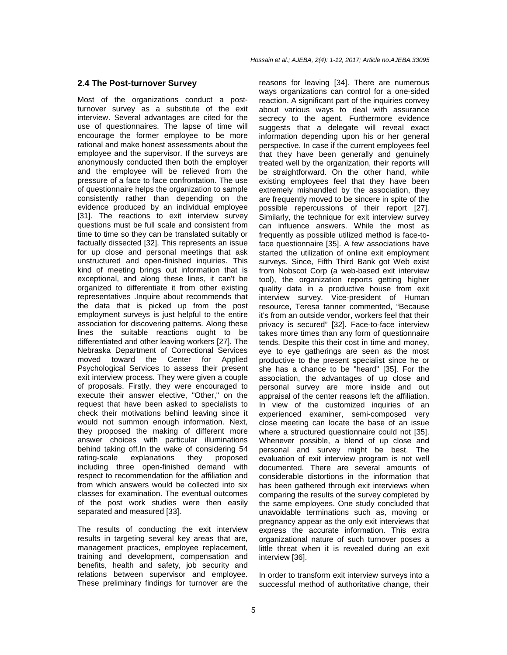#### **2.4 The Post-turnover Survey**

Most of the organizations conduct a postturnover survey as a substitute of the exit interview. Several advantages are cited for the use of questionnaires. The lapse of time will encourage the former employee to be more rational and make honest assessments about the employee and the supervisor. If the surveys are anonymously conducted then both the employer and the employee will be relieved from the pressure of a face to face confrontation. The use of questionnaire helps the organization to sample consistently rather than depending on the evidence produced by an individual employee [31]. The reactions to exit interview survey questions must be full scale and consistent from time to time so they can be translated suitably or factually dissected [32]. This represents an issue for up close and personal meetings that ask unstructured and open-finished inquiries. This kind of meeting brings out information that is exceptional, and along these lines, it can't be organized to differentiate it from other existing representatives .Inquire about recommends that the data that is picked up from the post employment surveys is just helpful to the entire association for discovering patterns. Along these lines the suitable reactions ought to be differentiated and other leaving workers [27]. The Nebraska Department of Correctional Services moved toward the Center for Applied Psychological Services to assess their present exit interview process. They were given a couple of proposals. Firstly, they were encouraged to execute their answer elective, "Other," on the request that have been asked to specialists to check their motivations behind leaving since it would not summon enough information. Next, they proposed the making of different more answer choices with particular illuminations behind taking off.In the wake of considering 54 rating-scale explanations they proposed including three open-finished demand with respect to recommendation for the affiliation and from which answers would be collected into six classes for examination. The eventual outcomes of the post work studies were then easily separated and measured [33].

The results of conducting the exit interview results in targeting several key areas that are, management practices, employee replacement, training and development, compensation and benefits, health and safety, job security and relations between supervisor and employee. These preliminary findings for turnover are the reasons for leaving [34]. There are numerous ways organizations can control for a one-sided reaction. A significant part of the inquiries convey about various ways to deal with assurance secrecy to the agent. Furthermore evidence suggests that a delegate will reveal exact information depending upon his or her general perspective. In case if the current employees feel that they have been generally and genuinely treated well by the organization, their reports will be straightforward. On the other hand, while existing employees feel that they have been extremely mishandled by the association, they are frequently moved to be sincere in spite of the possible repercussions of their report [27]. Similarly, the technique for exit interview survey can influence answers. While the most as frequently as possible utilized method is face-toface questionnaire [35]. A few associations have started the utilization of online exit employment surveys. Since, Fifth Third Bank got Web exist from Nobscot Corp (a web-based exit interview tool), the organization reports getting higher quality data in a productive house from exit interview survey. Vice-president of Human resource, Teresa tanner commented, "Because it's from an outside vendor, workers feel that their privacy is secured" [32]. Face-to-face interview takes more times than any form of questionnaire tends. Despite this their cost in time and money, eye to eye gatherings are seen as the most productive to the present specialist since he or she has a chance to be "heard" [35]. For the association, the advantages of up close and personal survey are more inside and out appraisal of the center reasons left the affiliation. In view of the customized inquiries of an experienced examiner, semi-composed very close meeting can locate the base of an issue where a structured questionnaire could not [35]. Whenever possible, a blend of up close and personal and survey might be best. The evaluation of exit interview program is not well documented. There are several amounts of considerable distortions in the information that has been gathered through exit interviews when comparing the results of the survey completed by the same employees. One study concluded that unavoidable terminations such as, moving or pregnancy appear as the only exit interviews that express the accurate information. This extra organizational nature of such turnover poses a little threat when it is revealed during an exit interview [36].

In order to transform exit interview surveys into a successful method of authoritative change, their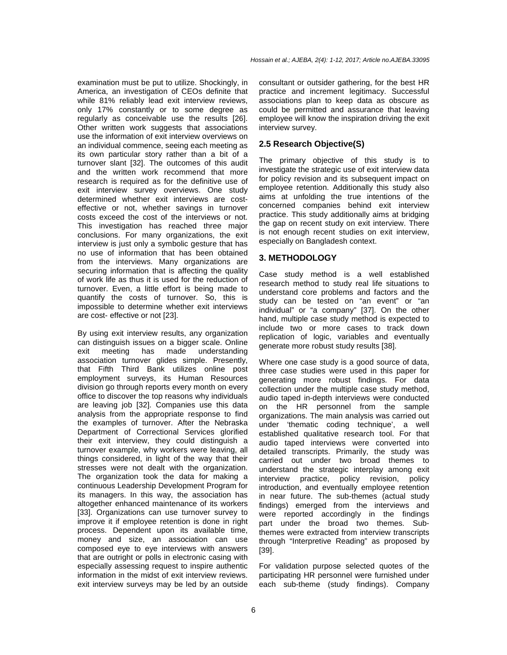examination must be put to utilize. Shockingly, in America, an investigation of CEOs definite that while 81% reliably lead exit interview reviews, only 17% constantly or to some degree as regularly as conceivable use the results [26]. Other written work suggests that associations use the information of exit interview overviews on an individual commence, seeing each meeting as its own particular story rather than a bit of a turnover slant [32]. The outcomes of this audit and the written work recommend that more research is required as for the definitive use of exit interview survey overviews. One study determined whether exit interviews are costeffective or not, whether savings in turnover costs exceed the cost of the interviews or not. This investigation has reached three major conclusions. For many organizations, the exit interview is just only a symbolic gesture that has no use of information that has been obtained from the interviews. Many organizations are securing information that is affecting the quality of work life as thus it is used for the reduction of turnover. Even, a little effort is being made to quantify the costs of turnover. So, this is impossible to determine whether exit interviews are cost- effective or not [23].

By using exit interview results, any organization can distinguish issues on a bigger scale. Online exit meeting has made understanding association turnover glides simple. Presently, that Fifth Third Bank utilizes online post employment surveys, its Human Resources division go through reports every month on every office to discover the top reasons why individuals are leaving job [32]. Companies use this data analysis from the appropriate response to find the examples of turnover. After the Nebraska Department of Correctional Services glorified their exit interview, they could distinguish a turnover example, why workers were leaving, all things considered, in light of the way that their stresses were not dealt with the organization. The organization took the data for making a continuous Leadership Development Program for its managers. In this way, the association has altogether enhanced maintenance of its workers [33]. Organizations can use turnover survey to improve it if employee retention is done in right process. Dependent upon its available time, money and size, an association can use composed eye to eye interviews with answers that are outright or polls in electronic casing with especially assessing request to inspire authentic information in the midst of exit interview reviews. exit interview surveys may be led by an outside

consultant or outsider gathering, for the best HR practice and increment legitimacy. Successful associations plan to keep data as obscure as could be permitted and assurance that leaving employee will know the inspiration driving the exit interview survey.

## **2.5 Research Objective(S)**

The primary objective of this study is to investigate the strategic use of exit interview data for policy revision and its subsequent impact on employee retention. Additionally this study also aims at unfolding the true intentions of the concerned companies behind exit interview practice. This study additionally aims at bridging the gap on recent study on exit interview. There is not enough recent studies on exit interview, especially on Bangladesh context.

## **3. METHODOLOGY**

Case study method is a well established research method to study real life situations to understand core problems and factors and the study can be tested on "an event" or "an individual" or "a company" [37]. On the other hand, multiple case study method is expected to include two or more cases to track down replication of logic, variables and eventually generate more robust study results [38].

Where one case study is a good source of data, three case studies were used in this paper for generating more robust findings. For data collection under the multiple case study method, audio taped in-depth interviews were conducted on the HR personnel from the sample organizations. The main analysis was carried out under 'thematic coding technique', a well established qualitative research tool. For that audio taped interviews were converted into detailed transcripts. Primarily, the study was carried out under two broad themes to understand the strategic interplay among exit interview practice, policy revision, policy introduction, and eventually employee retention in near future. The sub-themes (actual study findings) emerged from the interviews and were reported accordingly in the findings part under the broad two themes. Subthemes were extracted from interview transcripts through "Interpretive Reading" as proposed by [39].

For validation purpose selected quotes of the participating HR personnel were furnished under each sub-theme (study findings). Company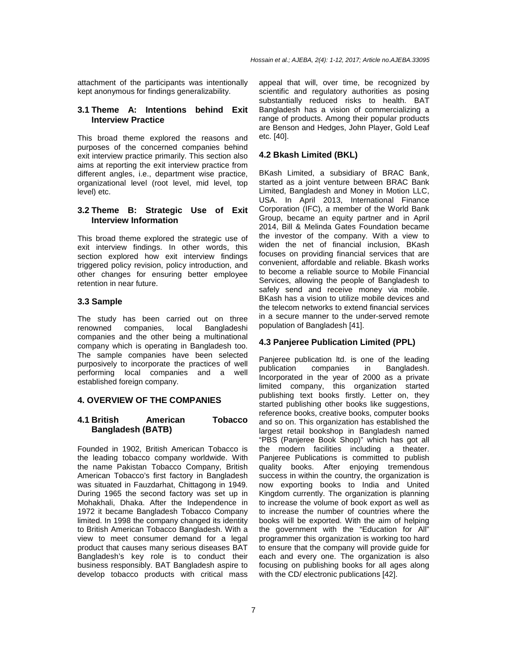attachment of the participants was intentionally kept anonymous for findings generalizability.

## **3.1 Theme A: Intentions behind Exit Interview Practice**

This broad theme explored the reasons and purposes of the concerned companies behind exit interview practice primarily. This section also aims at reporting the exit interview practice from different angles, i.e., department wise practice, organizational level (root level, mid level, top level) etc.

## **3.2 Theme B: Strategic Use of Exit Interview Information**

This broad theme explored the strategic use of exit interview findings. In other words, this section explored how exit interview findings triggered policy revision, policy introduction, and other changes for ensuring better employee retention in near future.

## **3.3 Sample**

The study has been carried out on three renowned companies, local Bangladeshi companies and the other being a multinational company which is operating in Bangladesh too. The sample companies have been selected purposively to incorporate the practices of well performing local companies and a well established foreign company.

## **4. OVERVIEW OF THE COMPANIES**

## **4.1 British American Tobacco Bangladesh (BATB)**

Founded in 1902, British American Tobacco is the leading tobacco company worldwide. With the name Pakistan Tobacco Company, British American Tobacco's first factory in Bangladesh was situated in Fauzdarhat, Chittagong in 1949. During 1965 the second factory was set up in Mohakhali, Dhaka. After the Independence in 1972 it became Bangladesh Tobacco Company limited. In 1998 the company changed its identity to British American Tobacco Bangladesh. With a view to meet consumer demand for a legal product that causes many serious diseases BAT Bangladesh's key role is to conduct their business responsibly. BAT Bangladesh aspire to develop tobacco products with critical mass

appeal that will, over time, be recognized by scientific and regulatory authorities as posing substantially reduced risks to health. BAT Bangladesh has a vision of commercializing a range of products. Among their popular products are Benson and Hedges, John Player, Gold Leaf etc. [40].

# **4.2 Bkash Limited (BKL)**

BKash Limited, a subsidiary of BRAC Bank, started as a joint venture between BRAC Bank Limited, Bangladesh and Money in Motion LLC, USA. In April 2013, International Finance Corporation (IFC), a member of the World Bank Group, became an equity partner and in April 2014, Bill & Melinda Gates Foundation became the investor of the company. With a view to widen the net of financial inclusion, BKash focuses on providing financial services that are convenient, affordable and reliable. Bkash works to become a reliable source to Mobile Financial Services, allowing the people of Bangladesh to safely send and receive money via mobile. BKash has a vision to utilize mobile devices and the telecom networks to extend financial services in a secure manner to the under-served remote population of Bangladesh [41].

## **4.3 Panjeree Publication Limited (PPL)**

Panjeree publication ltd. is one of the leading publication companies in Bangladesh. Incorporated in the year of 2000 as a private limited company, this organization started publishing text books firstly. Letter on, they started publishing other books like suggestions, reference books, creative books, computer books and so on. This organization has established the largest retail bookshop in Bangladesh named "PBS (Panjeree Book Shop)" which has got all the modern facilities including a theater. Panjeree Publications is committed to publish quality books. After enjoying tremendous success in within the country, the organization is now exporting books to India and United Kingdom currently. The organization is planning to increase the volume of book export as well as to increase the number of countries where the books will be exported. With the aim of helping the government with the "Education for All" programmer this organization is working too hard to ensure that the company will provide guide for each and every one. The organization is also focusing on publishing books for all ages along with the CD/ electronic publications [42].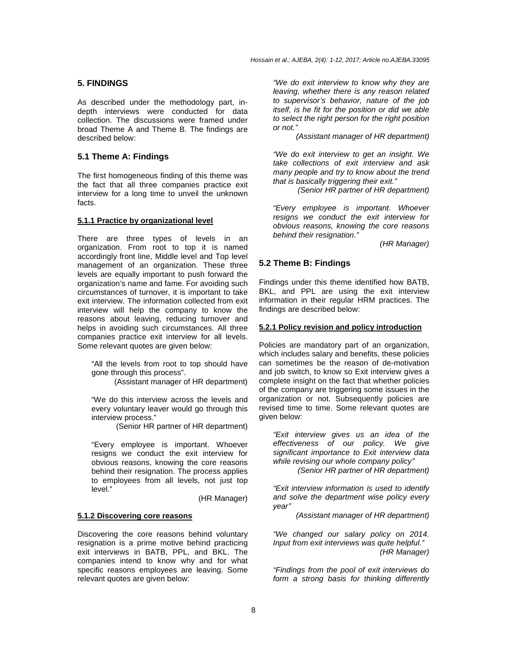#### **5. FINDINGS**

As described under the methodology part, indepth interviews were conducted for data collection. The discussions were framed under broad Theme A and Theme B. The findings are described below:

### **5.1 Theme A: Findings**

The first homogeneous finding of this theme was the fact that all three companies practice exit interview for a long time to unveil the unknown facts.

#### **5.1.1 Practice by organizational level**

There are three types of levels in an organization. From root to top it is named accordingly front line, Middle level and Top level management of an organization. These three levels are equally important to push forward the organization's name and fame. For avoiding such circumstances of turnover, it is important to take exit interview. The information collected from exit interview will help the company to know the reasons about leaving, reducing turnover and helps in avoiding such circumstances. All three companies practice exit interview for all levels. Some relevant quotes are given below:

"All the levels from root to top should have gone through this process".

(Assistant manager of HR department)

"We do this interview across the levels and every voluntary leaver would go through this interview process."

(Senior HR partner of HR department)

"Every employee is important. Whoever resigns we conduct the exit interview for obvious reasons, knowing the core reasons behind their resignation. The process applies to employees from all levels, not just top level."

(HR Manager)

#### **5.1.2 Discovering core reasons**

Discovering the core reasons behind voluntary resignation is a prime motive behind practicing exit interviews in BATB, PPL, and BKL. The companies intend to know why and for what specific reasons employees are leaving. Some relevant quotes are given below:

"We do exit interview to know why they are leaving, whether there is any reason related to supervisor's behavior, nature of the job itself, is he fit for the position or did we able to select the right person for the right position or not."

(Assistant manager of HR department)

"We do exit interview to get an insight. We take collections of exit interview and ask many people and try to know about the trend that is basically triggering their exit."

(Senior HR partner of HR department)

"Every employee is important. Whoever resigns we conduct the exit interview for obvious reasons, knowing the core reasons behind their resignation."

(HR Manager)

#### **5.2 Theme B: Findings**

Findings under this theme identified how BATB, BKL, and PPL are using the exit interview information in their regular HRM practices. The findings are described below:

#### **5.2.1 Policy revision and policy introduction**

Policies are mandatory part of an organization, which includes salary and benefits, these policies can sometimes be the reason of de-motivation and job switch, to know so Exit interview gives a complete insight on the fact that whether policies of the company are triggering some issues in the organization or not. Subsequently policies are revised time to time. Some relevant quotes are given below:

"Exit interview gives us an idea of the effectiveness of our policy. We give significant importance to Exit interview data while revising our whole company policy"

(Senior HR partner of HR department)

"Exit interview information is used to identify and solve the department wise policy every year"

(Assistant manager of HR department)

"We changed our salary policy on 2014. Input from exit interviews was quite helpful." (HR Manager)

"Findings from the pool of exit interviews do form a strong basis for thinking differently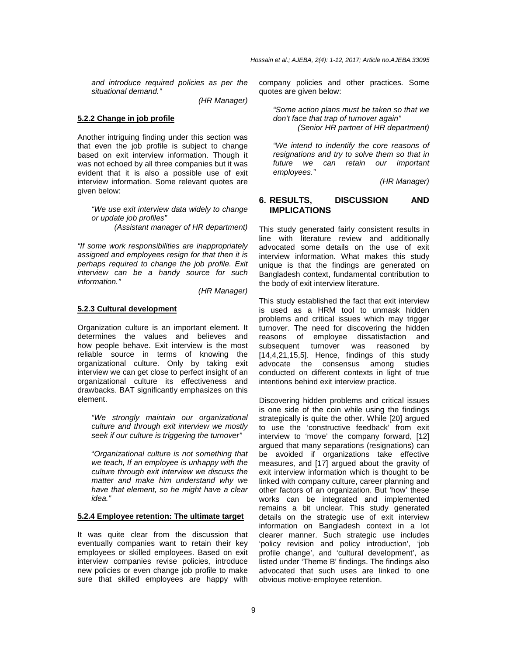and introduce required policies as per the situational demand."

(HR Manager)

### **5.2.2 Change in job profile**

Another intriguing finding under this section was that even the job profile is subject to change based on exit interview information. Though it was not echoed by all three companies but it was evident that it is also a possible use of exit interview information. Some relevant quotes are given below:

"We use exit interview data widely to change or update job profiles"

(Assistant manager of HR department)

"If some work responsibilities are inappropriately assigned and employees resign for that then it is perhaps required to change the job profile. Exit interview can be a handy source for such information."

(HR Manager)

## **5.2.3 Cultural development**

Organization culture is an important element. It determines the values and believes and how people behave. Exit interview is the most reliable source in terms of knowing the organizational culture. Only by taking exit interview we can get close to perfect insight of an organizational culture its effectiveness and drawbacks. BAT significantly emphasizes on this element.

"We strongly maintain our organizational culture and through exit interview we mostly seek if our culture is triggering the turnover"

"Organizational culture is not something that we teach, If an employee is unhappy with the culture through exit interview we discuss the matter and make him understand why we have that element, so he might have a clear idea."

### **5.2.4 Employee retention: The ultimate target**

It was quite clear from the discussion that eventually companies want to retain their key employees or skilled employees. Based on exit interview companies revise policies, introduce new policies or even change job profile to make sure that skilled employees are happy with

company policies and other practices. Some quotes are given below:

"Some action plans must be taken so that we don't face that trap of turnover again"

(Senior HR partner of HR department)

"We intend to indentify the core reasons of resignations and try to solve them so that in future we can retain our important employees."

(HR Manager)

## **6. RESULTS, DISCUSSION AND IMPLICATIONS**

This study generated fairly consistent results in line with literature review and additionally advocated some details on the use of exit interview information. What makes this study unique is that the findings are generated on Bangladesh context, fundamental contribution to the body of exit interview literature.

This study established the fact that exit interview is used as a HRM tool to unmask hidden problems and critical issues which may trigger turnover. The need for discovering the hidden reasons of employee dissatisfaction and subsequent turnover was reasoned by [14,4,21,15,5]. Hence, findings of this study advocate the consensus among studies conducted on different contexts in light of true intentions behind exit interview practice.

Discovering hidden problems and critical issues is one side of the coin while using the findings strategically is quite the other. While [20] argued to use the 'constructive feedback' from exit interview to 'move' the company forward, [12] argued that many separations (resignations) can be avoided if organizations take effective measures, and [17] argued about the gravity of exit interview information which is thought to be linked with company culture, career planning and other factors of an organization. But 'how' these works can be integrated and implemented remains a bit unclear. This study generated details on the strategic use of exit interview information on Bangladesh context in a lot clearer manner. Such strategic use includes 'policy revision and policy introduction', 'job profile change', and 'cultural development', as listed under 'Theme B' findings. The findings also advocated that such uses are linked to one obvious motive-employee retention.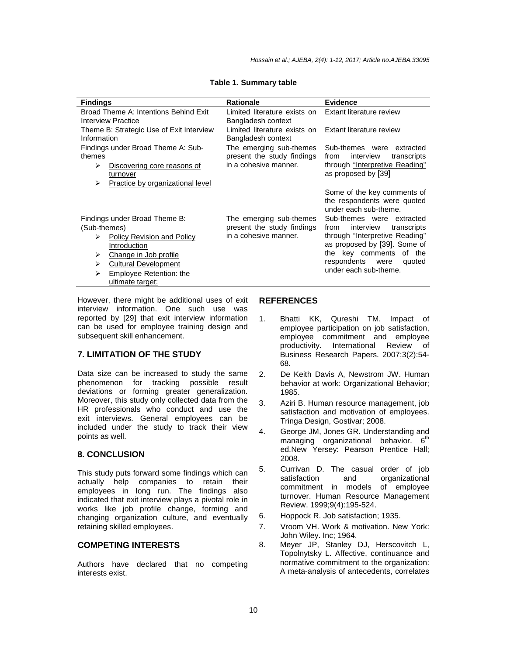| <b>Findings</b>                                                                                                                       | <b>Rationale</b>                                                               | <b>Evidence</b>                                                                                                           |
|---------------------------------------------------------------------------------------------------------------------------------------|--------------------------------------------------------------------------------|---------------------------------------------------------------------------------------------------------------------------|
| Broad Theme A: Intentions Behind Exit<br>Interview Practice                                                                           | Limited literature exists on<br>Bangladesh context                             | Extant literature review                                                                                                  |
| Theme B: Strategic Use of Exit Interview<br>Information                                                                               | Limited literature exists on<br>Bangladesh context                             | Extant literature review                                                                                                  |
| Findings under Broad Theme A: Sub-<br>themes<br>⋗<br>Discovering core reasons of<br>turnover<br>Practice by organizational level<br>⋗ | The emerging sub-themes<br>present the study findings<br>in a cohesive manner. | Sub-themes were<br>extracted<br>interview<br>from<br>transcripts<br>through "Interpretive Reading"<br>as proposed by [39] |
|                                                                                                                                       |                                                                                | Some of the key comments of<br>the respondents were quoted<br>under each sub-theme.                                       |
| Findings under Broad Theme B:<br>(Sub-themes)                                                                                         | The emerging sub-themes<br>present the study findings                          | Sub-themes were extracted<br>interview<br>from<br>transcripts                                                             |
| <b>Policy Revision and Policy</b><br>⋗<br>Introduction                                                                                | in a cohesive manner.                                                          | through "Interpretive Reading"<br>as proposed by [39]. Some of                                                            |
| ⋗<br>Change in Job profile<br><b>Cultural Development</b><br>⋗                                                                        |                                                                                | the key comments of the<br>respondents<br>were<br>quoted                                                                  |
| Employee Retention: the<br>⋗<br>ultimate target:                                                                                      |                                                                                | under each sub-theme.                                                                                                     |

#### **Table 1. Summary table**

However, there might be additional uses of exit interview information. One such use was reported by [29] that exit interview information can be used for employee training design and subsequent skill enhancement.

# **7. LIMITATION OF THE STUDY**

Data size can be increased to study the same phenomenon for tracking possible result deviations or forming greater generalization. Moreover, this study only collected data from the HR professionals who conduct and use the exit interviews. General employees can be included under the study to track their view points as well.

## **8. CONCLUSION**

This study puts forward some findings which can actually help companies to retain their employees in long run. The findings also indicated that exit interview plays a pivotal role in works like job profile change, forming and changing organization culture, and eventually retaining skilled employees.

# **COMPETING INTERESTS**

Authors have declared that no competing interests exist.

# **REFERENCES**

- 1. Bhatti KK, Qureshi TM. Impact of employee participation on job satisfaction, employee commitment and employee productivity. International Review of Business Research Papers. 2007;3(2):54- 68.
- 2. De Keith Davis A, Newstrom JW. Human behavior at work: Organizational Behavior; 1985.
- 3. Aziri B. Human resource management, job satisfaction and motivation of employees. Tringa Design, Gostivar; 2008.
- 4. George JM, Jones GR. Understanding and managing organizational behavior. 6<sup>th</sup> ed.New Yersey: Pearson Prentice Hall; 2008.
- 5. Currivan D. The casual order of job satisfaction and organizational commitment in models of employee turnover. Human Resource Management Review. 1999;9(4):195-524.
- 6. Hoppock R. Job satisfaction; 1935.
- 7. Vroom VH. Work & motivation. New York: John Wiley. Inc; 1964.
- 8. Meyer JP, Stanley DJ, Herscovitch L, Topolnytsky L. Affective, continuance and normative commitment to the organization: A meta-analysis of antecedents, correlates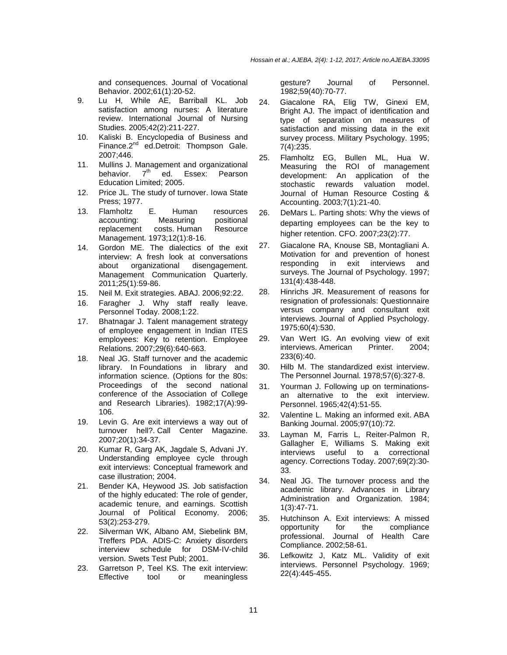and consequences. Journal of Vocational Behavior. 2002;61(1):20-52.

- 9. Lu H, While AE, Barriball KL. Job satisfaction among nurses: A literature review. International Journal of Nursing Studies. 2005;42(2):211-227.
- 10. Kaliski B. Encyclopedia of Business and Finance.2<sup>nd</sup> ed.Detroit: Thompson Gale. 2007;446.
- 11. Mullins J. Management and organizational<br>behavior. 7<sup>th</sup> ed. Essex: Pearson ed. Essex: Pearson Education Limited; 2005.
- 12. Price JL. The study of turnover. Iowa State Press; 1977.
- 13. Flamholtz E. Human resources accounting: Measuring positional replacement costs. Human Resource Management. 1973;12(1):8-16.
- 14. Gordon ME. The dialectics of the exit interview: A fresh look at conversations about organizational disengagement. Management Communication Quarterly. 2011;25(1):59-86.
- 15. Neil M. Exit strategies. ABAJ. 2006;92:22.
- 16. Faragher J. Why staff really leave. Personnel Today. 2008;1:22.
- 17. Bhatnagar J. Talent management strategy of employee engagement in Indian ITES employees: Key to retention. Employee Relations. 2007;29(6):640-663.
- 18. Neal JG. Staff turnover and the academic library. In Foundations in library and information science. (Options for the 80s: Proceedings of the second national conference of the Association of College and Research Libraries). 1982;17(A):99- 106.
- 19. Levin G. Are exit interviews a way out of turnover hell?. Call Center Magazine. 2007;20(1):34-37.
- 20. Kumar R, Garg AK, Jagdale S, Advani JY. Understanding employee cycle through exit interviews: Conceptual framework and case illustration; 2004.
- 21. Bender KA, Heywood JS. Job satisfaction of the highly educated: The role of gender, academic tenure, and earnings. Scottish Journal of Political Economy. 2006; 53(2):253-279.
- 22. Silverman WK, Albano AM, Siebelink BM, Treffers PDA. ADIS-C: Anxiety disorders interview schedule for DSM-IV-child version. Swets Test Publ; 2001.
- 23. Garretson P, Teel KS. The exit interview:<br>Effective tool or meaningless or meaningless

gesture? Journal of Personnel. 1982;59(40):70-77.

- 24. Giacalone RA, Elig TW, Ginexi EM, Bright AJ. The impact of identification and type of separation on measures of satisfaction and missing data in the exit survey process. Military Psychology. 1995; 7(4):235.
- 25. Flamholtz EG, Bullen ML, Hua W. Measuring the ROI of management development: An application of the stochastic rewards valuation model. Journal of Human Resource Costing & Accounting. 2003;7(1):21-40.
- 26. DeMars L. Parting shots: Why the views of departing employees can be the key to higher retention. CFO. 2007;23(2):77.
- 27. Giacalone RA, Knouse SB, Montagliani A. Motivation for and prevention of honest responding in exit interviews and surveys. The Journal of Psychology. 1997; 131(4):438-448.
- 28. Hinrichs JR. Measurement of reasons for resignation of professionals: Questionnaire versus company and consultant exit interviews. Journal of Applied Psychology. 1975;60(4):530.
- 29. Van Wert IG. An evolving view of exit interviews. American Printer. 2004; 233(6):40.
- 30. Hilb M. The standardized exist interview. The Personnel Journal. 1978;57(6):327-8.
- 31. Yourman J. Following up on terminationsan alternative to the exit interview. Personnel. 1965;42(4):51-55.
- 32. Valentine L. Making an informed exit. ABA Banking Journal. 2005;97(10):72.
- 33. Layman M, Farris L, Reiter-Palmon R, Gallagher E, Williams S. Making exit interviews useful to a correctional agency. Corrections Today. 2007;69(2):30- 33.
- 34. Neal JG. The turnover process and the academic library. Advances in Library Administration and Organization. 1984; 1(3):47-71.
- 35. Hutchinson A. Exit interviews: A missed opportunity for the compliance professional. Journal of Health Care Compliance. 2002;58-61.
- 36. Lefkowitz J, Katz ML. Validity of exit interviews. Personnel Psychology. 1969; 22(4):445-455.